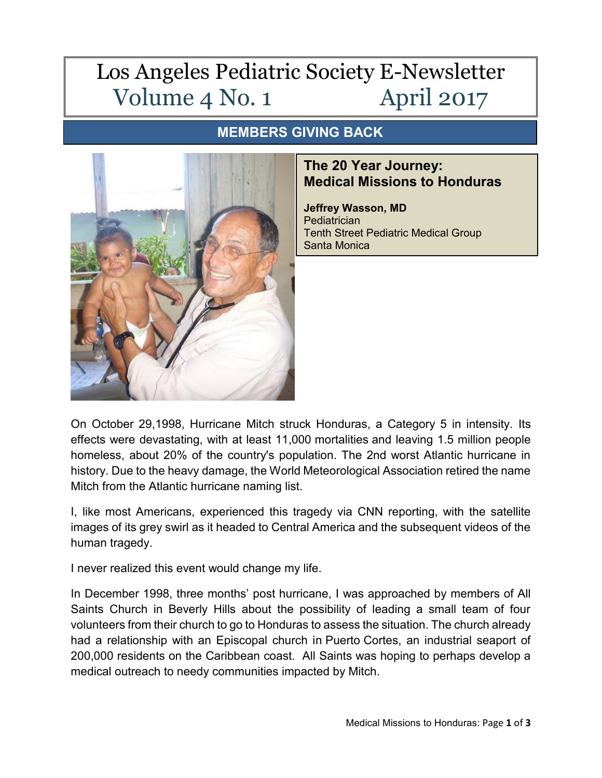## Los Angeles Pediatric Society E-Newsletter Volume 4 No. 1 April 2017

## **MEMBERS GIVING BACK**



## **The 20 Year Journey: Medical Missions to Honduras**

**Jeffrey Wasson, MD** Pediatrician Tenth Street Pediatric Medical Group Santa Monica

On October 29,1998, Hurricane Mitch struck Honduras, a Category 5 in intensity. Its effects were devastating, with at least 11,000 mortalities and leaving 1.5 million people homeless, about 20% of the country's population. The 2nd worst Atlantic hurricane in history. Due to the heavy damage, the World Meteorological Association retired the name Mitch from the Atlantic hurricane naming list.

I, like most Americans, experienced this tragedy via CNN reporting, with the satellite images of its grey swirl as it headed to Central America and the subsequent videos of the human tragedy.

I never realized this event would change my life.

In December 1998, three months' post hurricane, I was approached by members of All Saints Church in Beverly Hills about the possibility of leading a small team of four volunteers from their church to go to Honduras to assess the situation. The church already had a relationship with an Episcopal church in Puerto Cortes, an industrial seaport of 200,000 residents on the Caribbean coast. All Saints was hoping to perhaps develop a medical outreach to needy communities impacted by Mitch.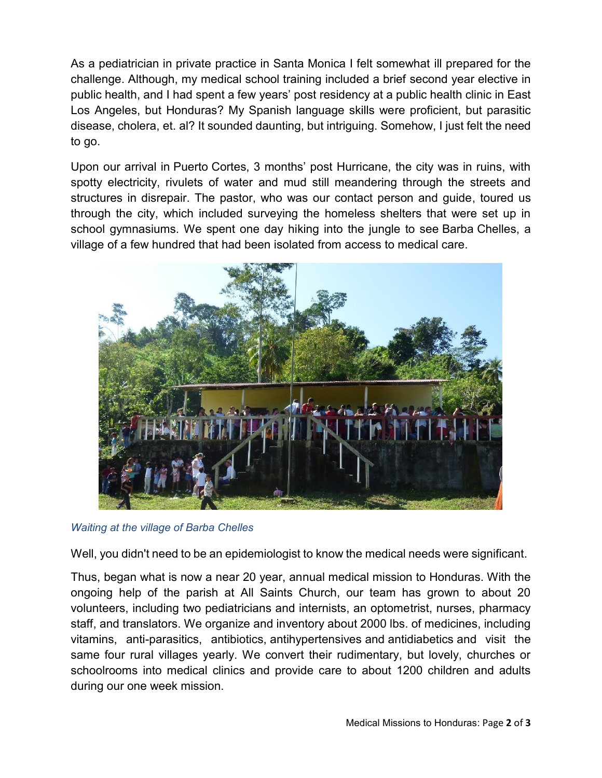As a pediatrician in private practice in Santa Monica I felt somewhat ill prepared for the challenge. Although, my medical school training included a brief second year elective in public health, and I had spent a few years' post residency at a public health clinic in East Los Angeles, but Honduras? My Spanish language skills were proficient, but parasitic disease, cholera, et. al? It sounded daunting, but intriguing. Somehow, I just felt the need to go.

Upon our arrival in Puerto Cortes, 3 months' post Hurricane, the city was in ruins, with spotty electricity, rivulets of water and mud still meandering through the streets and structures in disrepair. The pastor, who was our contact person and guide, toured us through the city, which included surveying the homeless shelters that were set up in school gymnasiums. We spent one day hiking into the jungle to see Barba Chelles, a village of a few hundred that had been isolated from access to medical care.



*Waiting at the village of Barba Chelles* 

Well, you didn't need to be an epidemiologist to know the medical needs were significant.

Thus, began what is now a near 20 year, annual medical mission to Honduras. With the ongoing help of the parish at All Saints Church, our team has grown to about 20 volunteers, including two pediatricians and internists, an optometrist, nurses, pharmacy staff, and translators. We organize and inventory about 2000 lbs. of medicines, including vitamins, anti-parasitics, antibiotics, antihypertensives and antidiabetics and visit the same four rural villages yearly. We convert their rudimentary, but lovely, churches or schoolrooms into medical clinics and provide care to about 1200 children and adults during our one week mission.